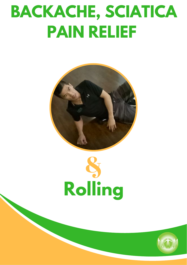## **BACKACHE, SCIATICA PAIN RELIEF**





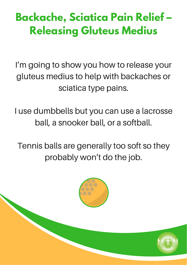## **Backache, Sciatica Pain Relief – Releasing Gluteus Medius**

I'm going to show you how to release your gluteus medius to help with backaches or sciatica type pains.

I use dumbbells but you can use a lacrosse ball, a snooker ball, or a softball.

Tennis balls are generally too soft so they probably won't do the job.

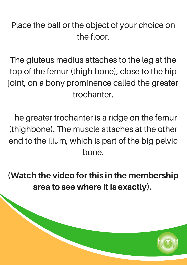## Place the ball or the object of your choice on the floor.

The gluteus medius attaches to the leg at the top of the femur (thigh bone), close to the hip joint, on a bony prominence called the greater trochanter.

The greater trochanter is a ridge on the femur (thighbone). The muscle attaches at the other end to the ilium, which is part of the big pelvic bone.

(Watch the video for this in the membership area to see where it is exactly).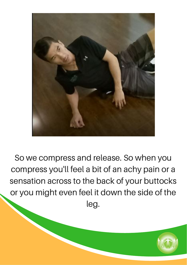

So we compress and release. So when you compress you'll feel a bit of an achy pain or a sensation across to the back of your buttocks or you might even feel it down the side of the leg.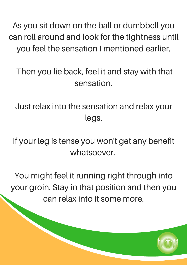As you sit down on the ball or dumbbell you can roll around and look for the tightness until you feel the sensation I mentioned earlier.

## Then you lie back, feel it and stay with that sensation.

Just relax into the sensation and relax your legs.

If your leg is tense you won't get any benefit whatsoever.

You might feel it running right through into your groin. Stay in that position and then you can relax into it some more.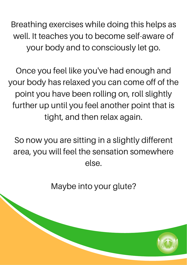Breathing exercises while doing this helps as well. It teaches you to become self-aware of your body and to consciously let go.

Once you feel like you've had enough and your body has relaxed you can come off of the point you have been rolling on, roll slightly further up until you feel another point that is tight, and then relax again.

So now you are sitting in a slightly different area, you will feel the sensation somewhere else.

Maybe into your glute?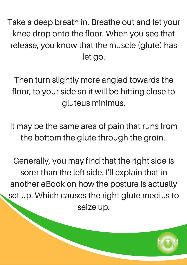Take a deep breath in. Breathe out and let your knee drop onto the floor. When you see that release, you know that the muscle (glute) has let go.

Then turn slightly more angled towards the floor, to your side so it will be hitting close to gluteus minimus.

It may be the same area of pain that runs from the bottom the glute through the groin.

Generally, you may find that the right side is sorer than the left side. I'll explain that in another eBook on how the posture is actually set up. Which causes the right glute medius to seize up.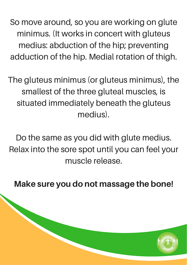So move around, so you are working on glute minimus. (It works in concert with gluteus medius: abduction of the hip; preventing adduction of the hip. Medial rotation of thigh.

The gluteus minimus (or gluteus minimus), the smallest of the three gluteal muscles, is situated immediately beneath the gluteus medius).

Do the same as you did with glute medius. Relax into the sore spot until you can feel your muscle release.

Make sure you do not massage the bone!